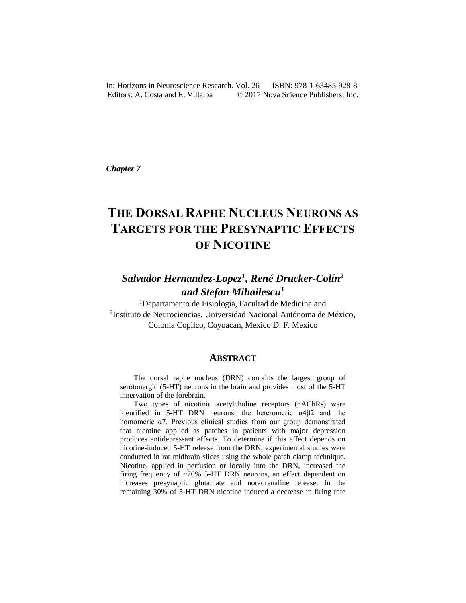In: Horizons in Neuroscience Research. Vol. 26 ISBN: 978-1-63485-928-8 Editors: A. Costa and E. Villalba  $\qquad \qquad \odot$  2017 Nova Science Publishers, Inc.

*Chapter 7* 

# **THE DORSAL RAPHE NUCLEUS NEURONS AS TARGETS FOR THE PRESYNAPTIC EFFECTS OF NICOTINE**

# *Salvador Hernandez-Lopez<sup>1</sup> , René Drucker-Colín<sup>2</sup> and Stefan Mihailescu<sup>1</sup>*

<sup>1</sup>Departamento de Fisiología, Facultad de Medicina and 2 Instituto de Neurociencias, Universidad Nacional Autónoma de México, Colonia Copilco, Coyoacan, Mexico D. F. Mexico

#### **ABSTRACT**

The dorsal raphe nucleus (DRN) contains the largest group of serotonergic (5-HT) neurons in the brain and provides most of the 5-HT innervation of the forebrain.

Two types of nicotinic acetylcholine receptors (nAChRs) were identified in 5-HT DRN neurons: the heteromeric α4β2 and the homomeric α7. Previous clinical studies from our group demonstrated that nicotine applied as patches in patients with major depression produces antidepressant effects. To determine if this effect depends on nicotine-induced 5-HT release from the DRN, experimental studies were conducted in rat midbrain slices using the whole patch clamp technique. Nicotine, applied in perfusion or locally into the DRN, increased the firing frequency of  $\sim 70\%$  5-HT DRN neurons, an effect dependent on increases presynaptic glutamate and noradrenaline release. In the remaining 30% of 5-HT DRN nicotine induced a decrease in firing rate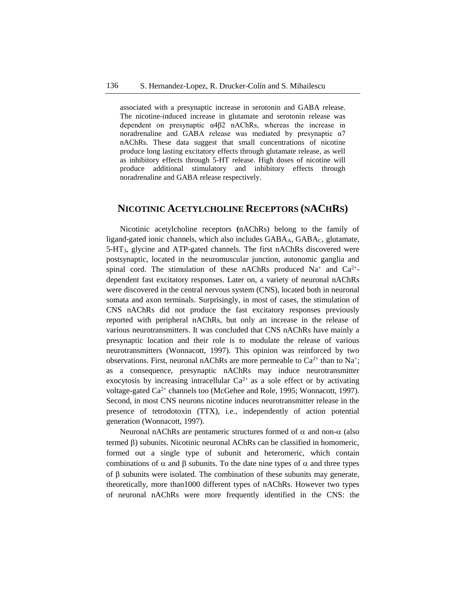associated with a presynaptic increase in serotonin and GABA release. The nicotine-induced increase in glutamate and serotonin release was dependent on presynaptic α4β2 nAChRs, whereas the increase in noradrenaline and GABA release was mediated by presynaptic α7 nAChRs. These data suggest that small concentrations of nicotine produce long lasting excitatory effects through glutamate release, as well as inhibitory effects through 5-HT release. High doses of nicotine will produce additional stimulatory and inhibitory effects through noradrenaline and GABA release respectively.

#### **NICOTINIC ACETYLCHOLINE RECEPTORS (NACHRS)**

Nicotinic acetylcholine receptors **(**nAChRs) belong to the family of ligand-gated ionic channels, which also includes GABA<sub>A</sub>, GABA<sub>C</sub>, glutamate, 5-HT3, glycine and ATP-gated channels. The first nAChRs discovered were postsynaptic, located in the neuromuscular junction, autonomic ganglia and spinal cord. The stimulation of these nAChRs produced  $Na^+$  and  $Ca^{2+}$ dependent fast excitatory responses. Later on, a variety of neuronal nAChRs were discovered in the central nervous system (CNS), located both in neuronal somata and axon terminals. Surprisingly, in most of cases, the stimulation of CNS nAChRs did not produce the fast excitatory responses previously reported with peripheral nAChRs, but only an increase in the release of various neurotransmitters. It was concluded that CNS nAChRs have mainly a presynaptic location and their role is to modulate the release of various neurotransmitters (Wonnacott, 1997). This opinion was reinforced by two observations. First, neuronal nAChRs are more permeable to  $Ca^{2+}$  than to Na<sup>+</sup>; as a consequence, presynaptic nAChRs may induce neurotransmitter exocytosis by increasing intracellular  $Ca^{2+}$  as a sole effect or by activating voltage-gated Ca2+ channels too (McGehee and Role, 1995; Wonnacott, 1997). Second, in most CNS neurons nicotine induces neurotransmitter release in the presence of tetrodotoxin (TTX), i.e., independently of action potential generation (Wonnacott, 1997).

Neuronal nAChRs are pentameric structures formed of  $\alpha$  and non- $\alpha$  (also termed  $\beta$ ) subunits. Nicotinic neuronal AChRs can be classified in homomeric, formed out a single type of subunit and heteromeric, which contain combinations of  $\alpha$  and  $\beta$  subunits. To the date nine types of  $\alpha$  and three types of  $\beta$  subunits were isolated. The combination of these subunits may generate, theoretically, more than1000 different types of nAChRs. However two types of neuronal nAChRs were more frequently identified in the CNS: the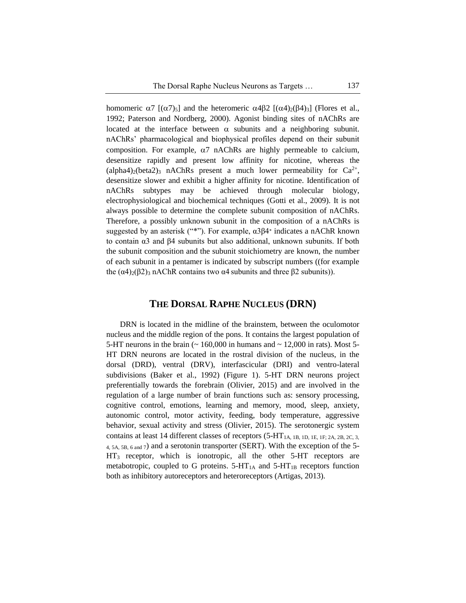homomeric  $\alpha$ 7 [( $\alpha$ 7)<sub>5</sub>] and the heteromeric  $\alpha$ 4 $\beta$ 2 [( $\alpha$ 4)<sub>2</sub>( $\beta$ 4)<sub>3</sub>] (Flores et al., 1992; Paterson and Nordberg, 2000). Agonist binding sites of nAChRs are located at the interface between  $\alpha$  subunits and a neighboring subunit. nAChRs' pharmacological and biophysical profiles depend on their subunit composition. For example,  $\alpha$ 7 nAChRs are highly permeable to calcium, desensitize rapidly and present low affinity for nicotine, whereas the  $\alpha$ (alpha4)<sub>2</sub>(beta2)<sub>3</sub> nAChRs present a much lower permeability for Ca<sup>2+</sup>, desensitize slower and exhibit a higher affinity for nicotine. Identification of nAChRs subtypes may be achieved through molecular biology, electrophysiological and biochemical techniques (Gotti et al., 2009). It is not always possible to determine the complete subunit composition of nAChRs. Therefore, a possibly unknown subunit in the composition of a nAChRs is suggested by an asterisk ("\*"). For example,  $\alpha \beta \beta 4^*$  indicates a nAChR known to contain α3 and β4 subunits but also additional, unknown subunits. If both the subunit composition and the subunit stoichiometry are known, the number of each subunit in a pentamer is indicated by subscript numbers ((for example the  $(α4)₂(β2)₃$  nAChR contains two  $α4$  subunits and three  $β2$  subunits)).

### **THE DORSAL RAPHE NUCLEUS (DRN)**

DRN is located in the midline of the brainstem, between the oculomotor nucleus and the middle region of the pons. It contains the largest population of 5-HT neurons in the brain  $($   $\sim$  160,000 in humans and  $\sim$  12,000 in rats). Most 5-HT DRN neurons are located in the rostral division of the nucleus, in the dorsal (DRD), ventral (DRV), interfascicular (DRI) and ventro-lateral subdivisions (Baker et al., 1992) (Figure 1). 5-HT DRN neurons project preferentially towards the forebrain (Olivier, 2015) and are involved in the regulation of a large number of brain functions such as: sensory processing, cognitive control, emotions, learning and memory, mood, sleep, anxiety, autonomic control, motor activity, feeding, body temperature, aggressive behavior, sexual activity and stress (Olivier, 2015). The serotonergic system contains at least 14 different classes of receptors (5-HT1A, 1B, 1D, 1E, 1F; 2A, 2B, 2C, 3, 4, 5A, 5B, 6 and 7) and a serotonin transporter (SERT). With the exception of the 5- HT<sup>3</sup> receptor, which is ionotropic, all the other 5-HT receptors are metabotropic, coupled to G proteins.  $5-HT_{1A}$  and  $5-HT_{1B}$  receptors function both as inhibitory autoreceptors and heteroreceptors (Artigas, 2013).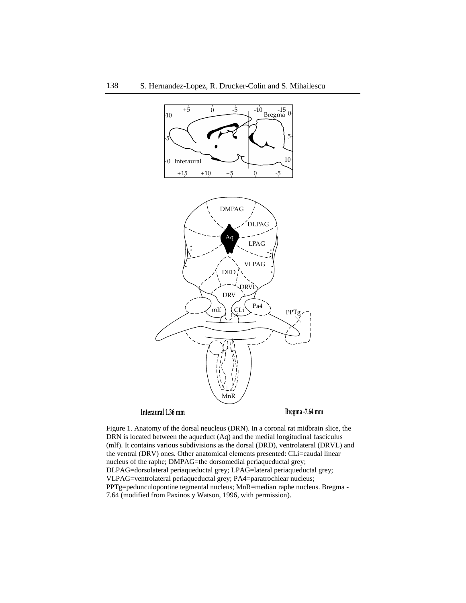

**Interaural 1.36 mm Bregma -7.64 mm**

Figure 1. Anatomy of the dorsal neucleus (DRN). In a coronal rat midbrain slice, the DRN is located between the aqueduct (Aq) and the medial longitudinal fasciculus (mlf). It contains various subdivisions as the dorsal (DRD), ventrolateral (DRVL) and the ventral (DRV) ones. Other anatomical elements presented: CLi=caudal linear nucleus of the raphe; DMPAG=the dorsomedial periaqueductal grey; DLPAG=dorsolateral periaqueductal grey; LPAG=lateral periaqueductal grey; VLPAG=ventrolateral periaqueductal grey; PA4=paratrochlear nucleus; PPTg=pedunculopontine tegmental nucleus; MnR=median raphe nucleus. Bregma - 7.64 (modified from Paxinos y Watson, 1996, with permission).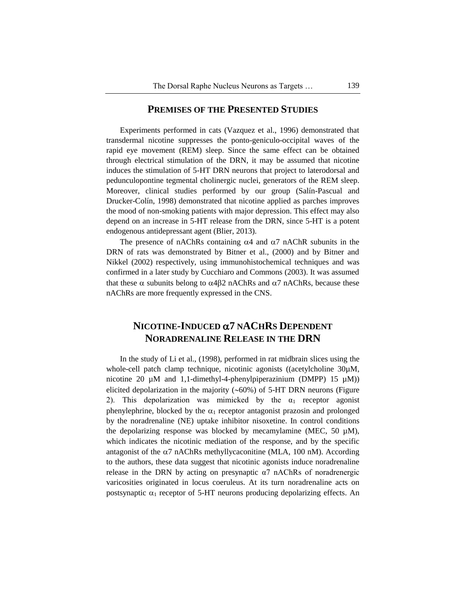#### **PREMISES OF THE PRESENTED STUDIES**

Experiments performed in cats (Vazquez et al., 1996) demonstrated that transdermal nicotine suppresses the ponto-geniculo-occipital waves of the rapid eye movement (REM) sleep. Since the same effect can be obtained through electrical stimulation of the DRN, it may be assumed that nicotine induces the stimulation of 5-HT DRN neurons that project to laterodorsal and pedunculopontine tegmental cholinergic nuclei, generators of the REM sleep. Moreover, clinical studies performed by our group (Salín-Pascual and Drucker-Colín, 1998) demonstrated that nicotine applied as parches improves the mood of non-smoking patients with major depression. This effect may also depend on an increase in 5-HT release from the DRN, since 5-HT is a potent endogenous antidepressant agent (Blier, 2013).

The presence of nAChRs containing  $\alpha$ 4 and  $\alpha$ 7 nAChR subunits in the DRN of rats was demonstrated by Bitner et al., (2000) and by Bitner and Nikkel (2002) respectively, using immunohistochemical techniques and was confirmed in a later study by Cucchiaro and Commons (2003). It was assumed that these  $\alpha$  subunits belong to  $\alpha$ 4 $\beta$ 2 nAChRs and  $\alpha$ 7 nAChRs, because these nAChRs are more frequently expressed in the CNS.

# **NICOTINE-INDUCED 7 NACHRS DEPENDENT NORADRENALINE RELEASE IN THE DRN**

In the study of Li et al., (1998), performed in rat midbrain slices using the whole-cell patch clamp technique, nicotinic agonists ((acetylcholine  $30\mu$ M, nicotine 20  $\mu$ M and 1,1-dimethyl-4-phenylpiperazinium (DMPP) 15  $\mu$ M)) elicited depolarization in the majority  $(\sim 60\%)$  of 5-HT DRN neurons (Figure 2). This depolarization was mimicked by the  $\alpha_1$  receptor agonist phenylephrine, blocked by the  $\alpha_1$  receptor antagonist prazosin and prolonged by the noradrenaline (NE) uptake inhibitor nisoxetine. In control conditions the depolarizing response was blocked by mecamylamine (MEC, 50  $\mu$ M), which indicates the nicotinic mediation of the response, and by the specific antagonist of the  $\alpha$ 7 nAChRs methyllycaconitine (MLA, 100 nM). According to the authors, these data suggest that nicotinic agonists induce noradrenaline release in the DRN by acting on presynaptic  $\alpha$ 7 nAChRs of noradrenergic varicosities originated in locus coeruleus. At its turn noradrenaline acts on postsynaptic  $\alpha_1$  receptor of 5-HT neurons producing depolarizing effects. An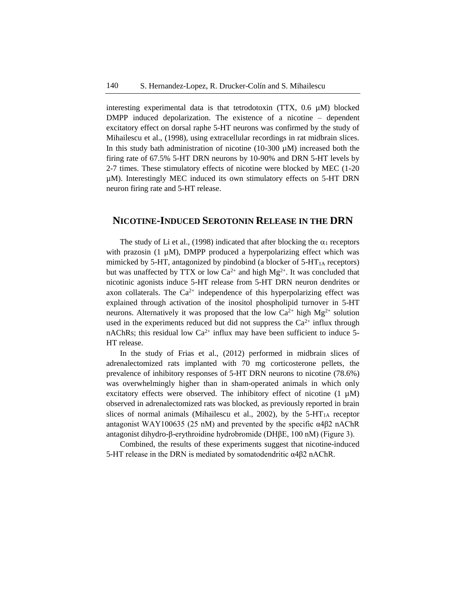interesting experimental data is that tetrodotoxin (TTX,  $0.6 \mu M$ ) blocked DMPP induced depolarization. The existence of a nicotine – dependent excitatory effect on dorsal raphe 5-HT neurons was confirmed by the study of Mihailescu et al., (1998), using extracellular recordings in rat midbrain slices. In this study bath administration of nicotine  $(10-300 \mu M)$  increased both the firing rate of 67.5% 5-HT DRN neurons by 10-90% and DRN 5-HT levels by 2-7 times. These stimulatory effects of nicotine were blocked by MEC (1-20 µM). Interestingly MEC induced its own stimulatory effects on 5-HT DRN neuron firing rate and 5-HT release.

#### **NICOTINE-INDUCED SEROTONIN RELEASE IN THE DRN**

The study of Li et al., (1998) indicated that after blocking the  $\alpha_1$  receptors with prazosin  $(1 \mu M)$ , DMPP produced a hyperpolarizing effect which was mimicked by 5-HT, antagonized by pindobind (a blocker of  $5-HT<sub>1A</sub>$  receptors) but was unaffected by TTX or low  $Ca^{2+}$  and high  $Mg^{2+}$ . It was concluded that nicotinic agonists induce 5-HT release from 5-HT DRN neuron dendrites or axon collaterals. The  $Ca^{2+}$  independence of this hyperpolarizing effect was explained through activation of the inositol phospholipid turnover in 5-HT neurons. Alternatively it was proposed that the low  $Ca^{2+}$  high  $Mg^{2+}$  solution used in the experiments reduced but did not suppress the  $Ca^{2+}$  influx through nAChRs; this residual low  $Ca^{2+}$  influx may have been sufficient to induce 5-HT release.

In the study of Frias et al., (2012) performed in midbrain slices of adrenalectomized rats implanted with 70 mg corticosterone pellets, the prevalence of inhibitory responses of 5-HT DRN neurons to nicotine (78.6%) was overwhelmingly higher than in sham-operated animals in which only excitatory effects were observed. The inhibitory effect of nicotine  $(1 \mu M)$ observed in adrenalectomized rats was blocked, as previously reported in brain slices of normal animals (Mihailescu et al., 2002), by the  $5-HT<sub>1A</sub>$  receptor antagonist WAY100635 (25 nM) and prevented by the specific α4β2 nAChR antagonist dihydro-β-erythroidine hydrobromide (DHβE, 100 nM) (Figure 3).

Combined, the results of these experiments suggest that nicotine-induced 5-HT release in the DRN is mediated by somatodendritic α4β2 nAChR.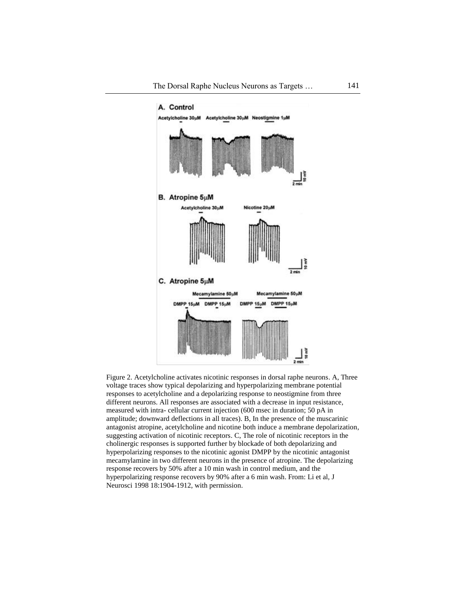

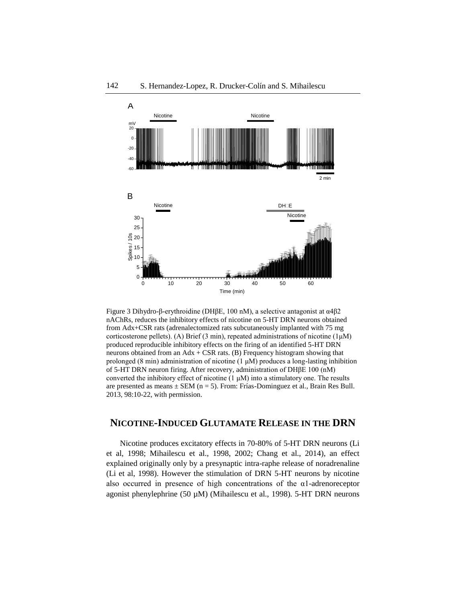

Figure 3 Dihydro-β-erythroidine (DHβE, 100 nM), a selective antagonist at α4β2 Figure 5nAChRs, reduces the inhibitory effects of nicotine on 5-HT DRN neurons obtained from Adx+CSR rats (adrenalectomized rats subcutaneously implanted with 75 mg corticosterone pellets). (A) Brief (3 min), repeated administrations of nicotine  $(1\mu M)$ produced reproducible inhibitory effects on the firing of an identified 5-HT DRN neurons obtained from an  $Adx + CSR$  rats. (B) Frequency histogram showing that prolonged (8 min) administration of nicotine (1 μM) produces a long-lasting inhibition of 5-HT DRN neuron firing. After recovery, administration of DHβE 100 (nM) converted the inhibitory effect of nicotine  $(1 \mu M)$  into a stimulatory one. The results are presented as means  $\pm$  SEM (n = 5). From: Frías-Dominguez et al., Brain Res Bull. 2013, 98:10-22, with permission.

### **NICOTINE-INDUCED GLUTAMATE RELEASE IN THE DRN**

Nicotine produces excitatory effects in 70-80% of 5-HT DRN neurons (Li et al, 1998; Mihailescu et al., 1998, 2002; Chang et al., 2014), an effect explained originally only by a presynaptic intra-raphe release of noradrenaline (Li et al, 1998). However the stimulation of DRN 5-HT neurons by nicotine also occurred in presence of high concentrations of the α1-adrenoreceptor agonist phenylephrine (50 µM) (Mihailescu et al., 1998). 5-HT DRN neurons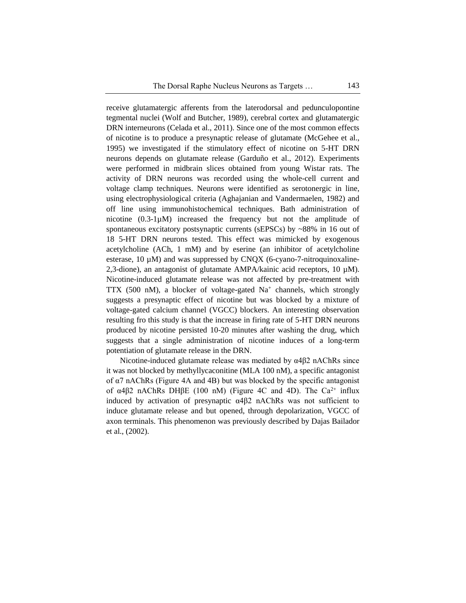receive glutamatergic afferents from the laterodorsal and pedunculopontine tegmental nuclei (Wolf and Butcher, 1989), cerebral cortex and glutamatergic DRN interneurons (Celada et al., 2011). Since one of the most common effects of nicotine is to produce a presynaptic release of glutamate (McGehee et al., 1995) we investigated if the stimulatory effect of nicotine on 5-HT DRN neurons depends on glutamate release (Garduño et al., 2012). Experiments were performed in midbrain slices obtained from young Wistar rats. The activity of DRN neurons was recorded using the whole-cell current and voltage clamp techniques. Neurons were identified as serotonergic in line, using electrophysiological criteria (Aghajanian and Vandermaelen, 1982) and off line using immunohistochemical techniques. Bath administration of nicotine (0.3-1µM) increased the frequency but not the amplitude of spontaneous excitatory postsynaptic currents (sEPSCs) by ~88% in 16 out of 18 5-HT DRN neurons tested. This effect was mimicked by exogenous acetylcholine (ACh, 1 mM) and by eserine (an inhibitor of acetylcholine esterase,  $10 \mu M$ ) and was suppressed by CNQX (6-cyano-7-nitroquinoxaline-2,3-dione), an antagonist of glutamate AMPA/kainic acid receptors,  $10 \mu$ M). Nicotine-induced glutamate release was not affected by pre-treatment with TTX (500 nM), a blocker of voltage-gated  $Na<sup>+</sup>$  channels, which strongly suggests a presynaptic effect of nicotine but was blocked by a mixture of voltage-gated calcium channel (VGCC) blockers. An interesting observation resulting fro this study is that the increase in firing rate of 5-HT DRN neurons produced by nicotine persisted 10-20 minutes after washing the drug, which suggests that a single administration of nicotine induces of a long-term potentiation of glutamate release in the DRN.

Nicotine-induced glutamate release was mediated by α4β2 nAChRs since it was not blocked by methyllycaconitine (MLA 100 nM), a specific antagonist of α7 nAChRs (Figure 4A and 4B) but was blocked by the specific antagonist of  $\alpha$ 4β2 nAChRs DHβE (100 nM) (Figure 4C and 4D). The Ca<sup>2+</sup> influx induced by activation of presynaptic α4β2 nAChRs was not sufficient to induce glutamate release and but opened, through depolarization, VGCC of axon terminals. This phenomenon was previously described by Dajas Bailador et al., (2002).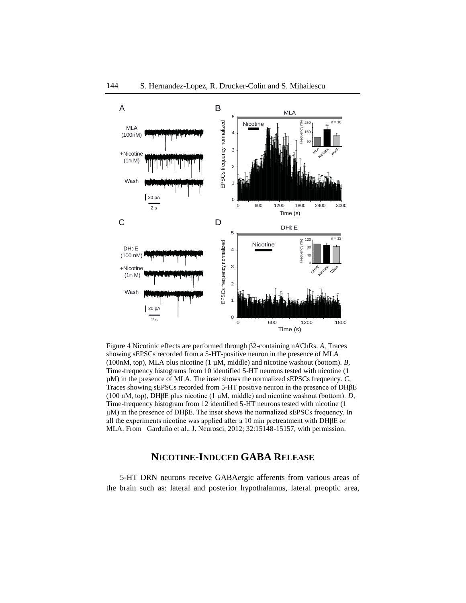

Figure 4 Nicotinic effects are performed through 2-containing nAChRs. *A,* Traces showing sEPSCs recorded from a 5-HT-positive neuron in the presence of MLA (100nM, top), MLA plus nicotine (1 µM, middle) and nicotine washout (bottom). *B*, Time-frequency histograms from 10 identified 5-HT neurons tested with nicotine (1 µM) in the presence of MLA. The inset shows the normalized sEPSCs frequency. *C*, Traces showing sEPSCs recorded from 5-HT positive neuron in the presence of DHβE (100 nM, top), DHβE plus nicotine (1 µM, middle) and nicotine washout (bottom). *D*, Time-frequency histogram from 12 identified 5-HT neurons tested with nicotine  $(1)$ µM) in the presence of DHβE. The inset shows the normalized sEPSCs frequency. In all the experiments nicotine was applied after a 10 min pretreatment with DHβE or MLA. From Garduño et al., J. Neurosci, 2012; 32:15148-15157, with permission.

## **NICOTINE-INDUCED GABA RELEASE**

5-HT DRN neurons receive GABAergic afferents from various areas of the brain such as: lateral and posterior hypothalamus, lateral preoptic area,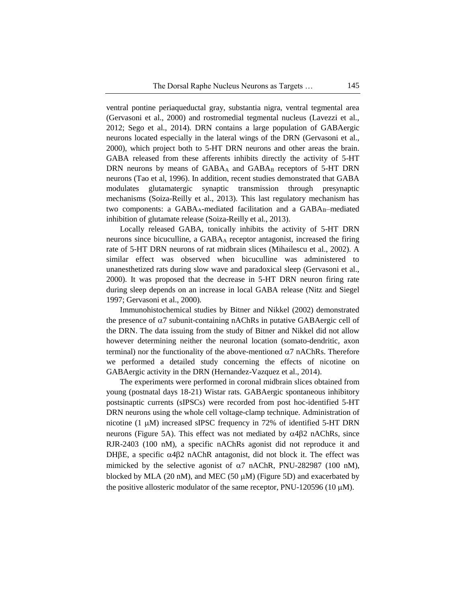ventral pontine periaqueductal gray, substantia nigra, ventral tegmental area (Gervasoni et al., 2000) and rostromedial tegmental nucleus (Lavezzi et al., 2012; Sego et al., 2014). DRN contains a large population of GABAergic neurons located especially in the lateral wings of the DRN (Gervasoni et al., 2000), which project both to 5-HT DRN neurons and other areas the brain. GABA released from these afferents inhibits directly the activity of 5-HT DRN neurons by means of GABA<sub>A</sub> and GABA<sub>B</sub> receptors of 5-HT DRN neurons (Tao et al, 1996). In addition, recent studies demonstrated that GABA modulates glutamatergic synaptic transmission through presynaptic mechanisms (Soiza-Reilly et al., 2013). This last regulatory mechanism has two components: a GABA<sub>A</sub>-mediated facilitation and a GABA<sub>B</sub>-mediated inhibition of glutamate release (Soiza-Reilly et al., 2013).

Locally released GABA, tonically inhibits the activity of 5-HT DRN neurons since bicuculline, a GABA<sup>A</sup> receptor antagonist, increased the firing rate of 5-HT DRN neurons of rat midbrain slices (Mihailescu et al., 2002). A similar effect was observed when bicuculline was administered to unanesthetized rats during slow wave and paradoxical sleep (Gervasoni et al., 2000). It was proposed that the decrease in 5-HT DRN neuron firing rate during sleep depends on an increase in local GABA release (Nitz and Siegel 1997; Gervasoni et al., 2000).

Immunohistochemical studies by Bitner and Nikkel (2002) demonstrated the presence of  $\alpha$ 7 subunit-containing nAChRs in putative GABAergic cell of the DRN. The data issuing from the study of Bitner and Nikkel did not allow however determining neither the neuronal location (somato-dendritic, axon terminal) nor the functionality of the above-mentioned  $\alpha$ 7 nAChRs. Therefore we performed a detailed study concerning the effects of nicotine on GABAergic activity in the DRN (Hernandez-Vazquez et al., 2014).

The experiments were performed in coronal midbrain slices obtained from young (postnatal days 18-21) Wistar rats. GABAergic spontaneous inhibitory postsinaptic currents (sIPSCs) were recorded from post hoc-identified 5-HT DRN neurons using the whole cell voltage-clamp technique. Administration of nicotine  $(1 \mu M)$  increased sIPSC frequency in 72% of identified 5-HT DRN neurons (Figure 5A). This effect was not mediated by  $\alpha$ 4 $\beta$ 2 nAChRs, since RJR-2403 (100 nM), a specific nAChRs agonist did not reproduce it and DH $\beta$ E, a specific  $\alpha$ 4 $\beta$ 2 nAChR antagonist, did not block it. The effect was mimicked by the selective agonist of  $\alpha$ 7 nAChR, PNU-282987 (100 nM), blocked by MLA (20 nM), and MEC (50  $\mu$ M) (Figure 5D) and exacerbated by the positive allosteric modulator of the same receptor, PNU-120596 (10  $\mu$ M).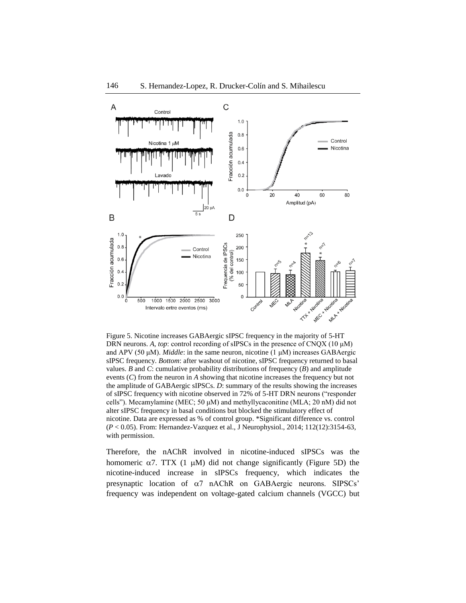

Figure 5. Nicotine increases GABAergic sIPSC frequency in the majority of 5-HT DRN neurons. *A*, *top*: control recording of sIPSCs in the presence of CNQX (10 μM) and APV (50 μM). *Middle*: in the same neuron, nicotine (1 μM) increases GABAergic sIPSC frequency. *Bottom*: after washout of nicotine, sIPSC frequency returned to basal values. *B* and *C*: cumulative probability distributions of frequency (*B*) and amplitude events (*C*) from the neuron in *A* showing that nicotine increases the frequency but not the amplitude of GABAergic sIPSCs. *D*: summary of the results showing the increases of sIPSC frequency with nicotine observed in 72% of 5-HT DRN neurons ("responder cells"). Mecamylamine (MEC; 50 μM) and methyllycaconitine (MLA; 20 nM) did not alter sIPSC frequency in basal conditions but blocked the stimulatory effect of nicotine. Data are expressed as % of control group. \*Significant difference vs. control (*P* < 0.05). From: Hernandez-Vazquez et al., J Neurophysiol., 2014; 112(12):3154-63, with permission.

Therefore, the nAChR involved in nicotine-induced sIPSCs was the homomeric  $\alpha$ 7. TTX (1  $\mu$ M) did not change significantly (Figure 5D) the nicotine-induced increase in sIPSCs frequency, which indicates the presynaptic location of  $\alpha$ 7 nAChR on GABAergic neurons. SIPSCs' frequency was independent on voltage-gated calcium channels (VGCC) but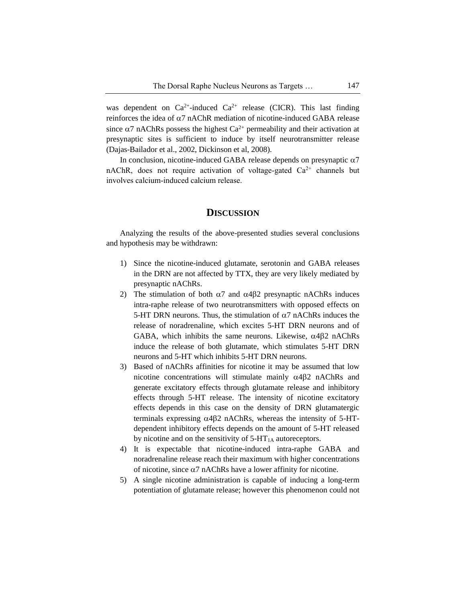was dependent on  $Ca^{2+}$ -induced  $Ca^{2+}$  release (CICR). This last finding reinforces the idea of  $\alpha$ 7 nAChR mediation of nicotine-induced GABA release since  $\alpha$ 7 nAChRs possess the highest Ca<sup>2+</sup> permeability and their activation at presynaptic sites is sufficient to induce by itself neurotransmitter release (Dajas-Bailador et al., 2002, Dickinson et al, 2008).

In conclusion, nicotine-induced GABA release depends on presynaptic  $\alpha$ 7 nAChR, does not require activation of voltage-gated  $Ca<sup>2+</sup>$  channels but involves calcium-induced calcium release.

#### **DISCUSSION**

Analyzing the results of the above-presented studies several conclusions and hypothesis may be withdrawn:

- 1) Since the nicotine-induced glutamate, serotonin and GABA releases in the DRN are not affected by TTX, they are very likely mediated by presynaptic nAChRs.
- 2) The stimulation of both  $\alpha$ 7 and  $\alpha$ 4 $\beta$ 2 presynaptic nAChRs induces intra-raphe release of two neurotransmitters with opposed effects on 5-HT DRN neurons. Thus, the stimulation of  $\alpha$ 7 nAChRs induces the release of noradrenaline, which excites 5-HT DRN neurons and of GABA, which inhibits the same neurons. Likewise,  $\alpha$ 482 nAChRs induce the release of both glutamate, which stimulates 5-HT DRN neurons and 5-HT which inhibits 5-HT DRN neurons.
- 3) Based of nAChRs affinities for nicotine it may be assumed that low nicotine concentrations will stimulate mainly  $\alpha$ 4 $\beta$ 2 nAChRs and generate excitatory effects through glutamate release and inhibitory effects through 5-HT release. The intensity of nicotine excitatory effects depends in this case on the density of DRN glutamatergic terminals expressing  $\alpha$ 4 $\beta$ 2 nAChRs, whereas the intensity of 5-HTdependent inhibitory effects depends on the amount of 5-HT released by nicotine and on the sensitivity of  $5-HT<sub>1A</sub>$  autoreceptors.
- 4) It is expectable that nicotine-induced intra-raphe GABA and noradrenaline release reach their maximum with higher concentrations of nicotine, since  $\alpha$ 7 nAChRs have a lower affinity for nicotine.
- 5) A single nicotine administration is capable of inducing a long-term potentiation of glutamate release; however this phenomenon could not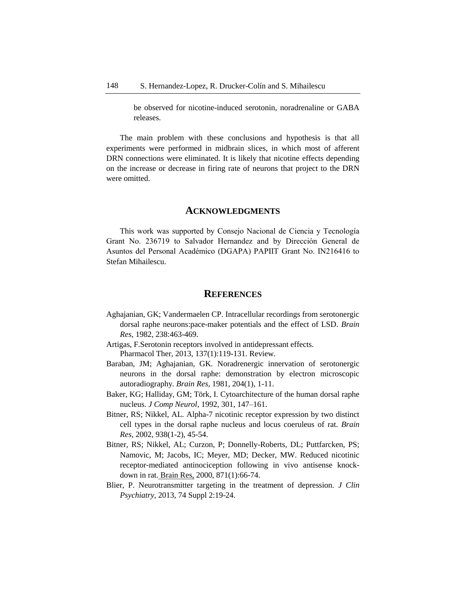be observed for nicotine-induced serotonin, noradrenaline or GABA releases.

The main problem with these conclusions and hypothesis is that all experiments were performed in midbrain slices, in which most of afferent DRN connections were eliminated. It is likely that nicotine effects depending on the increase or decrease in firing rate of neurons that project to the DRN were omitted.

#### **ACKNOWLEDGMENTS**

This work was supported by Consejo Nacional de Ciencia y Tecnología Grant No. 236719 to Salvador Hernandez and by Dirección General de Asuntos del Personal Académico (DGAPA) PAPIIT Grant No. IN216416 to Stefan Mihailescu.

#### **REFERENCES**

- Aghajanian, GK; Vandermaelen CP. Intracellular recordings from serotonergic dorsal raphe neurons:pace-maker potentials and the effect of LSD. *Brain Res*, 1982, 238:463-469.
- Artigas, F.Serotonin receptors involved in antidepressant effects. Pharmacol Ther, 2013, 137(1):119-131. Review.
- Baraban, JM; Aghajanian, GK. Noradrenergic innervation of serotonergic neurons in the dorsal raphe: demonstration by electron microscopic autoradiography. *Brain Res*, 1981, 204(1), 1-11.
- Baker, KG; Halliday, GM; Törk, I. Cytoarchitecture of the human dorsal raphe nucleus. *J Comp Neurol*, 1992, 301, 147–161.
- Bitner, RS; Nikkel, AL. Alpha-7 nicotinic receptor expression by two distinct cell types in the dorsal raphe nucleus and locus coeruleus of rat. *Brain Res,* 2002, 938(1-2), 45-54.
- Bitner, RS; Nikkel, AL; Curzon, P; Donnelly-Roberts, DL; Puttfarcken, PS; Namovic, M; Jacobs, IC; Meyer, MD; Decker, MW. Reduced nicotinic receptor-mediated antinociception following in vivo antisense knockdown in rat. Brain Res, 2000, 871(1):66-74.
- Blier, P. Neurotransmitter targeting in the treatment of depression. *J Clin Psychiatry*, 2013, 74 Suppl 2:19-24.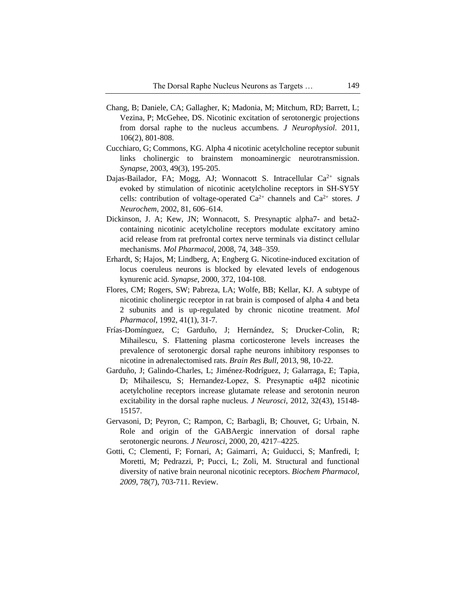- Chang, B; Daniele, CA; Gallagher, K; Madonia, M; Mitchum, RD; Barrett, L; Vezina, P; McGehee, DS. Nicotinic excitation of serotonergic projections from dorsal raphe to the nucleus accumbens. *J Neurophysiol*. 2011, 106(2), 801-808.
- Cucchiaro, G; Commons, KG. Alpha 4 nicotinic acetylcholine receptor subunit links cholinergic to brainstem monoaminergic neurotransmission. *Synapse,* 2003, 49(3), 195-205.
- Dajas-Bailador, FA; Mogg, AJ; Wonnacott S. Intracellular  $Ca^{2+}$  signals evoked by stimulation of nicotinic acetylcholine receptors in SH-SY5Y cells: contribution of voltage-operated  $Ca^{2+}$  channels and  $Ca^{2+}$  stores. *J Neurochem,* 2002, 81, 606–614.
- Dickinson, J. A; Kew, JN; Wonnacott, S. Presynaptic alpha7- and beta2 containing nicotinic acetylcholine receptors modulate excitatory amino acid release from rat prefrontal cortex nerve terminals via distinct cellular mechanisms. *Mol Pharmacol*, 2008, 74, 348–359.
- Erhardt, S; Hajos, M; Lindberg, A; Engberg G. Nicotine-induced excitation of locus coeruleus neurons is blocked by elevated levels of endogenous kynurenic acid. *Synapse*, 2000, 372, 104-108.
- Flores, CM; Rogers, SW; Pabreza, LA; Wolfe, BB; Kellar, KJ. A subtype of nicotinic cholinergic receptor in rat brain is composed of alpha 4 and beta 2 subunits and is up-regulated by chronic nicotine treatment. *Mol Pharmacol*, 1992, 41(1), 31-7.
- Frías-Domínguez, C; Garduño, J; Hernández, S; Drucker-Colin, R; Mihailescu, S. Flattening plasma corticosterone levels increases the prevalence of serotonergic dorsal raphe neurons inhibitory responses to nicotine in adrenalectomised rats. *Brain Res Bull*, 2013, 98, 10-22.
- Garduño, J; Galindo-Charles, L; Jiménez-Rodríguez, J; Galarraga, E; Tapia, D; Mihailescu, S; Hernandez-Lopez, S. Presynaptic α4β2 nicotinic acetylcholine receptors increase glutamate release and serotonin neuron excitability in the dorsal raphe nucleus*. J Neurosci*, 2012, 32(43), 15148- 15157.
- Gervasoni, D; Peyron, C; Rampon, C; Barbagli, B; Chouvet, G; Urbain, N. Role and origin of the GABAergic innervation of dorsal raphe serotonergic neurons. *J Neurosci*, 2000, 20, 4217–4225.
- Gotti, C; Clementi, F; Fornari, A; Gaimarri, A; Guiducci, S; Manfredi, I; Moretti, M; Pedrazzi, P; Pucci, L; Zoli, M. Structural and functional diversity of native brain neuronal nicotinic receptors. *Biochem Pharmacol, 2009*, 78(7), 703-711. Review.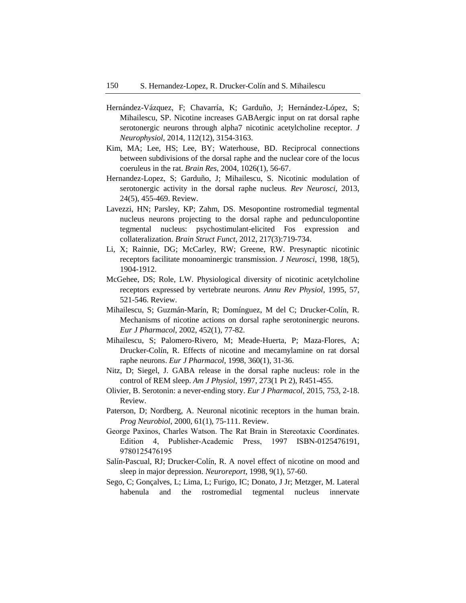- Hernández-Vázquez, F; Chavarría, K; Garduño, J; Hernández-López, S; Mihailescu, SP. Nicotine increases GABAergic input on rat dorsal raphe serotonergic neurons through alpha7 nicotinic acetylcholine receptor. *J Neurophysiol,* 2014, 112(12), 3154-3163.
- Kim, MA; Lee, HS; Lee, BY; Waterhouse, BD. Reciprocal connections between subdivisions of the dorsal raphe and the nuclear core of the locus coeruleus in the rat. *Brain Res*, 2004, 1026(1), 56-67.
- Hernandez-Lopez, S; Garduño, J; Mihailescu, S. Nicotinic modulation of serotonergic activity in the dorsal raphe nucleus. *Rev Neurosci*, 2013, 24(5), 455-469. Review.
- Lavezzi, HN; Parsley, KP; Zahm, DS. Mesopontine rostromedial tegmental nucleus neurons projecting to the dorsal raphe and pedunculopontine tegmental nucleus: psychostimulant-elicited Fos expression and collateralization. *Brain Struct Funct*, 2012, 217(3):719-734.
- Li, X; Rainnie, DG; McCarley, RW; Greene, RW. Presynaptic nicotinic receptors facilitate monoaminergic transmission. *J Neurosci*, 1998, 18(5), 1904-1912.
- McGehee, DS; Role, LW. Physiological diversity of nicotinic acetylcholine receptors expressed by vertebrate neurons. *Annu Rev Physiol*, 1995, 57, 521-546. Review.
- Mihailescu, S; Guzmán-Marín, R; Domínguez, M del C; Drucker-Colín, R. Mechanisms of nicotine actions on dorsal raphe serotoninergic neurons. *Eur J Pharmacol*, 2002, 452(1), 77-82.
- Mihailescu, S; Palomero-Rivero, M; Meade-Huerta, P; Maza-Flores, A; Drucker-Colín, R. Effects of nicotine and mecamylamine on rat dorsal raphe neurons. *Eur J Pharmacol*, 1998, 360(1), 31-36.
- Nitz, D; Siegel, J. GABA release in the dorsal raphe nucleus: role in the control of REM sleep. *Am J Physiol*, 1997, 273(1 Pt 2), R451-455.
- Olivier, B. Serotonin: a never-ending story. *Eur J Pharmacol*, 2015, 753, 2-18. Review.
- Paterson, D; Nordberg, A. Neuronal nicotinic receptors in the human brain. *Prog Neurobiol*, 2000, 61(1), 75-111. Review.
- George Paxinos, Charles Watson. The Rat Brain in Stereotaxic Coordinates. Edition 4, Publisher-Academic Press, 1997 ISBN-0125476191, 9780125476195
- Salín-Pascual, RJ; Drucker-Colín, R. A novel effect of nicotine on mood and sleep in major depression. *Neuroreport,* 1998, 9(1), 57-60.
- Sego, C; Gonçalves, L; Lima, L; Furigo, IC; Donato, J Jr; Metzger, M. Lateral habenula and the rostromedial tegmental nucleus innervate